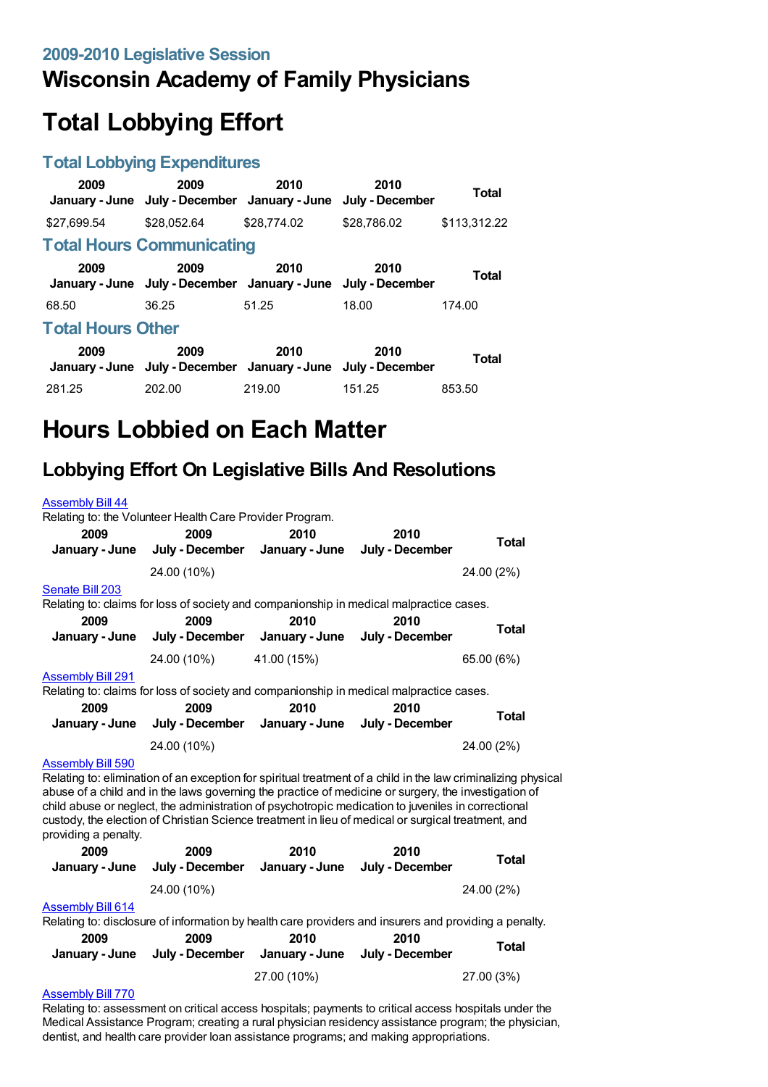## **Wisconsin Academy of Family Physicians**

# **Total Lobbying Effort**

### **Total Lobbying Expenditures**

| 2009                     | 2009<br>January - June July - December January - June                 | 2010        | 2010<br>July - December | Total        |  |
|--------------------------|-----------------------------------------------------------------------|-------------|-------------------------|--------------|--|
| \$27,699.54              | \$28.052.64                                                           | \$28,774.02 | \$28,786.02             | \$113,312.22 |  |
|                          | <b>Total Hours Communicating</b>                                      |             |                         |              |  |
| 2009                     | 2009<br>January - June July - December January - June July - December | 2010        | 2010                    | <b>Total</b> |  |
| 68.50                    | 36.25                                                                 | 51.25       | 18.00                   | 174.00       |  |
| <b>Total Hours Other</b> |                                                                       |             |                         |              |  |
| 2009                     | 2009<br>January - June July - December January - June July - December | 2010        | 2010                    | <b>Total</b> |  |
| 281.25                   | 202.00                                                                | 219.00      | 151.25                  | 853.50       |  |

# **Hours Lobbied on Each Matter**

### **Lobbying Effort On Legislative Bills And Resolutions**

| <b>Assembly Bill 44</b>  |                                                                                         |      |                 |            |
|--------------------------|-----------------------------------------------------------------------------------------|------|-----------------|------------|
|                          | Relating to: the Volunteer Health Care Provider Program.                                |      |                 |            |
| 2009                     | 2009                                                                                    | 2010 | 2010            |            |
|                          | January - June July - December January - June                                           |      | July - December | Total      |
|                          | 24.00 (10%)                                                                             |      |                 | 24.00 (2%) |
| Senate Bill 203          |                                                                                         |      |                 |            |
|                          | Relating to: claims for loss of society and companionship in medical malpractice cases. |      |                 |            |
| 2009                     | 2009                                                                                    | 2010 | 2010            |            |
|                          | January - June July - December January - June July - December                           |      |                 | Total      |
|                          | 24.00 (10%) 41.00 (15%)                                                                 |      |                 | 65.00 (6%) |
| <b>Assembly Bill 291</b> |                                                                                         |      |                 |            |
|                          | Relating to: claims for loss of society and companionship in medical malpractice cases. |      |                 |            |
| 2009                     | 2009                                                                                    | 2010 | 2010            |            |
|                          | January - June July - December January - June July - December                           |      |                 | Total      |
|                          | 24.00 (10%)                                                                             |      |                 | 24.00 (2%) |
| <b>Assembly Bill 590</b> |                                                                                         |      |                 |            |

Relating to: elimination of an exception for spiritual treatment of a child in the law criminalizing physical abuse of a child and in the laws governing the practice of medicine or surgery, the investigation of child abuse or neglect, the administration of psychotropic medication to juveniles in correctional custody, the election of Christian Science treatment in lieu of medical or surgical treatment, and providing a penalty.

| 2009<br>January - June | 2009<br>July - December January - June July - December | 2010 | 2010 | Total      |
|------------------------|--------------------------------------------------------|------|------|------------|
|                        | 24.00 (10%)                                            |      |      | 24.00 (2%) |

#### [Assembly](https://lobbying.wi.gov/What/BillInformation/2009REG/Information/7115?tab=Efforts) Bill 614

Relating to: disclosure of information by health care providers and insurers and providing a penalty.

| 2009 | 2009<br>January - June July - December January - June July - December | 2010        | 2010 | Total      |
|------|-----------------------------------------------------------------------|-------------|------|------------|
|      |                                                                       | 27.00 (10%) |      | 27.00 (3%) |

#### [Assembly](https://lobbying.wi.gov/What/BillInformation/2009REG/Information/7432?tab=Efforts) Bill 770

Relating to: assessment on critical access hospitals; payments to critical access hospitals under the Medical Assistance Program; creating a rural physician residency assistance program; the physician, dentist, and health care provider loan assistance programs; and making appropriations.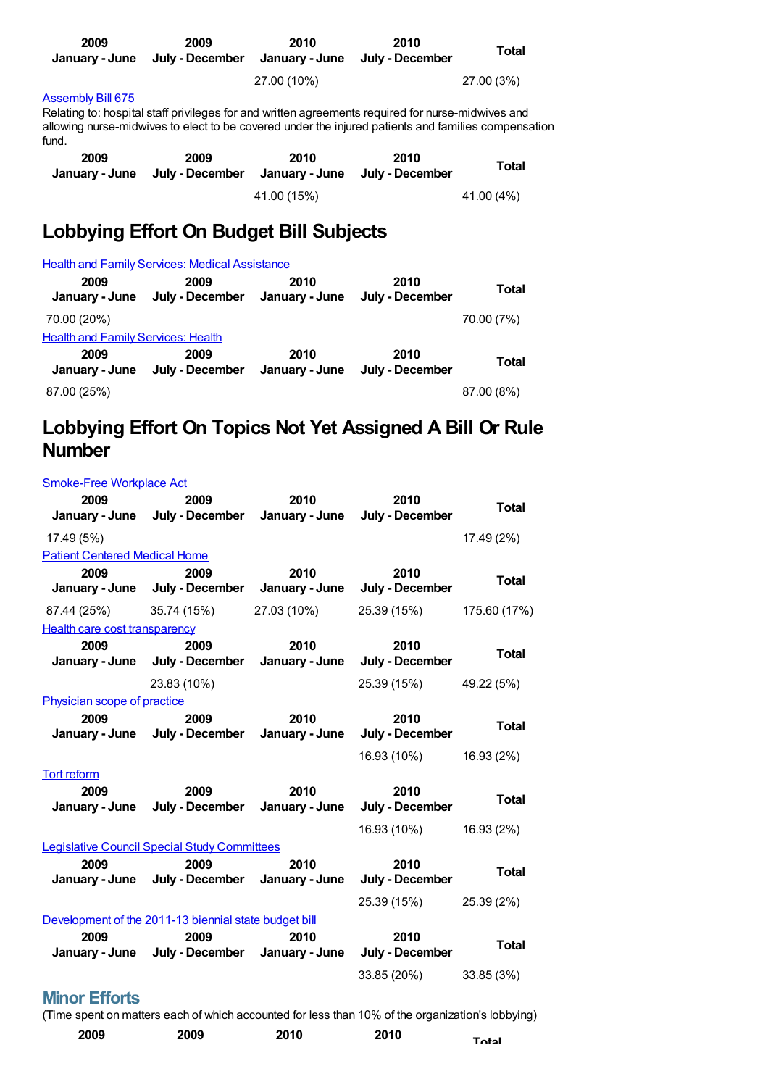| 2009<br>January - June | 2009<br>July - December                                                                                                                                                                                  | 2010<br>January - June | 2010<br>July - December | Total      |
|------------------------|----------------------------------------------------------------------------------------------------------------------------------------------------------------------------------------------------------|------------------------|-------------------------|------------|
|                        |                                                                                                                                                                                                          | 27.00 (10%)            |                         | 27.00 (3%) |
| Assembly Bill 675      | Relating to: hospital staff privileges for and written agreements reguired for nurse-midwives and<br>allowing nurse-midwives to elect to be covered under the injured patients and families compensation |                        |                         |            |

| fund.                  |                         |                        |                         |            |
|------------------------|-------------------------|------------------------|-------------------------|------------|
| 2009<br>January - June | 2009<br>July - December | 2010<br>January - June | 2010<br>July - December | Total      |
|                        |                         | 41.00 (15%)            |                         | 41.00 (4%) |

## **Lobbying Effort On Budget Bill Subjects**

|                                           | <b>Health and Family Services: Medical Assistance</b> |                        |                         |              |
|-------------------------------------------|-------------------------------------------------------|------------------------|-------------------------|--------------|
| 2009<br>January - June                    | 2009<br>July - December                               | 2010<br>January - June | 2010<br>July - December | <b>Total</b> |
| 70.00 (20%)                               |                                                       |                        |                         | 70.00 (7%)   |
| <b>Health and Family Services: Health</b> |                                                       |                        |                         |              |
| 2009<br>January - June                    | 2009<br>July - December                               | 2010<br>January - June | 2010<br>July - December | <b>Total</b> |
| 87.00 (25%)                               |                                                       |                        |                         | 87.00 (8%)   |

## **Lobbying Effort On Topics Not Yet Assigned A Bill Or Rule Number**

| <b>Smoke-Free Workplace Act</b>      |                                                       |                        |                         |              |
|--------------------------------------|-------------------------------------------------------|------------------------|-------------------------|--------------|
| 2009                                 | 2009                                                  | 2010                   | 2010                    | <b>Total</b> |
|                                      | January - June July - December January - June         |                        | July - December         |              |
| 17.49 (5%)                           |                                                       |                        |                         | 17.49 (2%)   |
| <b>Patient Centered Medical Home</b> |                                                       |                        |                         |              |
| 2009<br>January - June               | 2009<br>July - December                               | 2010<br>January - June | 2010<br>July - December | <b>Total</b> |
| 87.44 (25%)                          | 35.74 (15%)                                           | 27.03 (10%)            | 25.39 (15%)             | 175.60 (17%) |
| <b>Health care cost transparency</b> |                                                       |                        |                         |              |
| 2009<br>January - June               | 2009<br>July - December                               | 2010<br>January - June | 2010<br>July - December | <b>Total</b> |
|                                      | 23.83 (10%)                                           |                        | 25.39 (15%)             | 49.22 (5%)   |
| Physician scope of practice          |                                                       |                        |                         |              |
| 2009                                 | 2009<br>January - June July - December                | 2010<br>January - June | 2010<br>July - December | <b>Total</b> |
|                                      |                                                       |                        | 16.93 (10%)             | 16.93 (2%)   |
| Tort reform                          |                                                       |                        |                         |              |
| 2009<br>January - June               | 2009<br>July - December                               | 2010<br>January - June | 2010<br>July - December | <b>Total</b> |
|                                      |                                                       |                        | 16.93 (10%)             | 16.93 (2%)   |
|                                      | <b>Legislative Council Special Study Committees</b>   |                        |                         |              |
| 2009<br>January - June               | 2009<br>July - December January - June                | 2010                   | 2010<br>July - December | <b>Total</b> |
|                                      |                                                       |                        | 25.39 (15%)             | 25.39 (2%)   |
|                                      | Development of the 2011-13 biennial state budget bill |                        |                         |              |
| 2009<br>January - June               | 2009<br>July - December January - June                | 2010                   | 2010<br>July - December | <b>Total</b> |
| m ee                                 |                                                       |                        | 33.85 (20%)             | 33.85 (3%)   |

### **Minor Efforts**

(Time spent on matters each of which accounted for less than 10% of the organization's lobbying)

| 2009 | 2009 | 2010 | 2010 | Total |
|------|------|------|------|-------|
|------|------|------|------|-------|